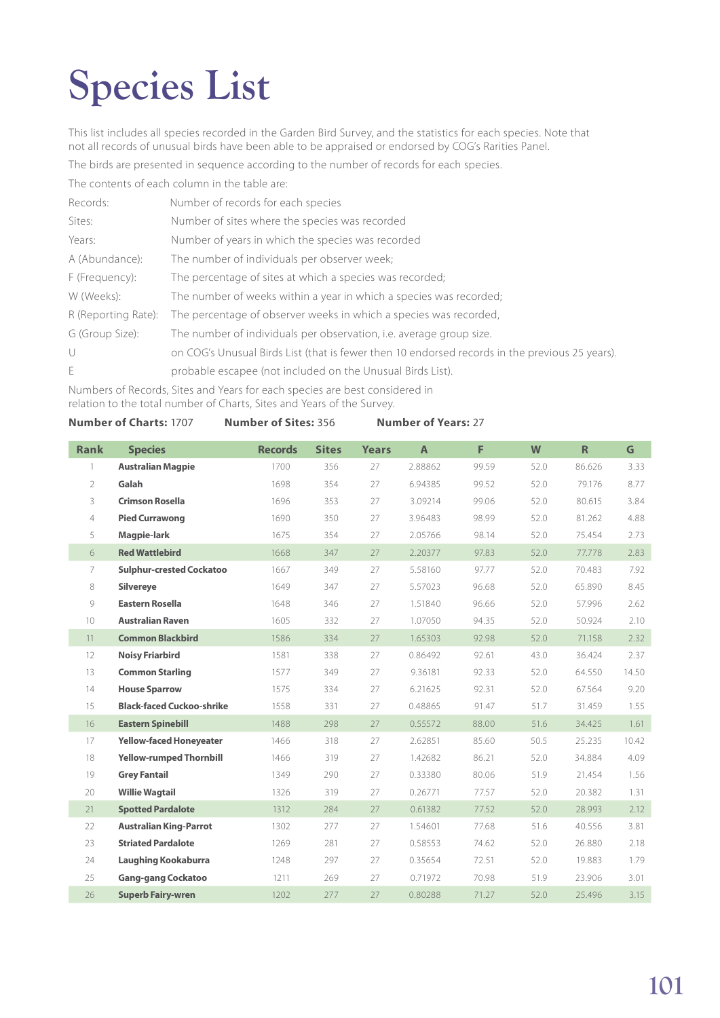## **Species List**

This list includes all species recorded in the Garden Bird Survey, and the statistics for each species. Note that not all records of unusual birds have been able to be appraised or endorsed by COG's Rarities Panel.

The birds are presented in sequence according to the number of records for each species.

The contents of each column in the table are:

| Records:            | Number of records for each species                                                                             |
|---------------------|----------------------------------------------------------------------------------------------------------------|
| Sites:              | Number of sites where the species was recorded                                                                 |
| Years:              | Number of years in which the species was recorded                                                              |
| A (Abundance):      | The number of individuals per observer week;                                                                   |
| F (Frequency):      | The percentage of sites at which a species was recorded;                                                       |
| W (Weeks):          | The number of weeks within a year in which a species was recorded;                                             |
| R (Reporting Rate): | The percentage of observer weeks in which a species was recorded,                                              |
| G (Group Size):     | The number of individuals per observation, <i>i.e.</i> average group size.                                     |
| $\cup$              | on COG's Unusual Birds List (that is fewer then 10 endorsed records in the previous 25 years)                  |
| E                   | probable escapee (not included on the Unusual Birds List).                                                     |
|                     | . Martin Lander of December 1994 and a Martin from a class of a constant and a statement of the statement that |

Numbers of Records, Sites and Years for each species are best considered in relation to the total number of Charts, Sites and Years of the Survey.

| <b>Number of Charts: 1707</b> | <b>Number of Sites: 356</b> | <b>Number of Years: 27</b> |
|-------------------------------|-----------------------------|----------------------------|
|-------------------------------|-----------------------------|----------------------------|

| <b>Rank</b>     | <b>Species</b>                   | <b>Records</b> | <b>Sites</b> | <b>Years</b> | $\overline{A}$ | F     | W    | $\mathsf R$ | G     |
|-----------------|----------------------------------|----------------|--------------|--------------|----------------|-------|------|-------------|-------|
| $\overline{1}$  | <b>Australian Magpie</b>         | 1700           | 356          | 27           | 2.88862        | 99.59 | 52.0 | 86.626      | 3.33  |
| $\overline{2}$  | Galah                            | 1698           | 354          | 27           | 6.94385        | 99.52 | 52.0 | 79.176      | 8.77  |
| 3               | <b>Crimson Rosella</b>           | 1696           | 353          | 27           | 3.09214        | 99.06 | 52.0 | 80.615      | 3.84  |
| $\overline{4}$  | <b>Pied Currawong</b>            | 1690           | 350          | 27           | 3.96483        | 98.99 | 52.0 | 81.262      | 4.88  |
| 5               | Magpie-lark                      | 1675           | 354          | 27           | 2.05766        | 98.14 | 52.0 | 75.454      | 2.73  |
| 6               | <b>Red Wattlebird</b>            | 1668           | 347          | 27           | 2.20377        | 97.83 | 52.0 | 77.778      | 2.83  |
| 7               | <b>Sulphur-crested Cockatoo</b>  | 1667           | 349          | 27           | 5.58160        | 97.77 | 52.0 | 70.483      | 7.92  |
| 8               | <b>Silvereye</b>                 | 1649           | 347          | 27           | 5.57023        | 96.68 | 52.0 | 65.890      | 8.45  |
| 9               | <b>Eastern Rosella</b>           | 1648           | 346          | 27           | 1.51840        | 96.66 | 52.0 | 57.996      | 2.62  |
| 10 <sup>°</sup> | <b>Australian Raven</b>          | 1605           | 332          | 27           | 1.07050        | 94.35 | 52.0 | 50.924      | 2.10  |
| 11              | <b>Common Blackbird</b>          | 1586           | 334          | 27           | 1.65303        | 92.98 | 52.0 | 71.158      | 2.32  |
| 12              | <b>Noisy Friarbird</b>           | 1581           | 338          | 27           | 0.86492        | 92.61 | 43.0 | 36.424      | 2.37  |
| 13              | <b>Common Starling</b>           | 1577           | 349          | 27           | 9.36181        | 92.33 | 52.0 | 64.550      | 14.50 |
| 14              | <b>House Sparrow</b>             | 1575           | 334          | 27           | 6.21625        | 92.31 | 52.0 | 67.564      | 9.20  |
| 15              | <b>Black-faced Cuckoo-shrike</b> | 1558           | 331          | 27           | 0.48865        | 91.47 | 51.7 | 31.459      | 1.55  |
| 16              | <b>Eastern Spinebill</b>         | 1488           | 298          | 27           | 0.55572        | 88.00 | 51.6 | 34.425      | 1.61  |
| 17              | <b>Yellow-faced Honeyeater</b>   | 1466           | 318          | 27           | 2.62851        | 85.60 | 50.5 | 25.235      | 10.42 |
| 18              | <b>Yellow-rumped Thornbill</b>   | 1466           | 319          | 27           | 1.42682        | 86.21 | 52.0 | 34.884      | 4.09  |
| 19              | <b>Grey Fantail</b>              | 1349           | 290          | 27           | 0.33380        | 80.06 | 51.9 | 21.454      | 1.56  |
| 20              | <b>Willie Wagtail</b>            | 1326           | 319          | 27           | 0.26771        | 77.57 | 52.0 | 20.382      | 1.31  |
| 21              | <b>Spotted Pardalote</b>         | 1312           | 284          | 27           | 0.61382        | 77.52 | 52.0 | 28.993      | 2.12  |
| 22              | <b>Australian King-Parrot</b>    | 1302           | 277          | 27           | 1.54601        | 77.68 | 51.6 | 40.556      | 3.81  |
| 23              | <b>Striated Pardalote</b>        | 1269           | 281          | 27           | 0.58553        | 74.62 | 52.0 | 26.880      | 2.18  |
| 24              | <b>Laughing Kookaburra</b>       | 1248           | 297          | 27           | 0.35654        | 72.51 | 52.0 | 19.883      | 1.79  |
| 25              | <b>Gang-gang Cockatoo</b>        | 1211           | 269          | 27           | 0.71972        | 70.98 | 51.9 | 23.906      | 3.01  |
| 26              | <b>Superb Fairy-wren</b>         | 1202           | 277          | 27           | 0.80288        | 71.27 | 52.0 | 25.496      | 3.15  |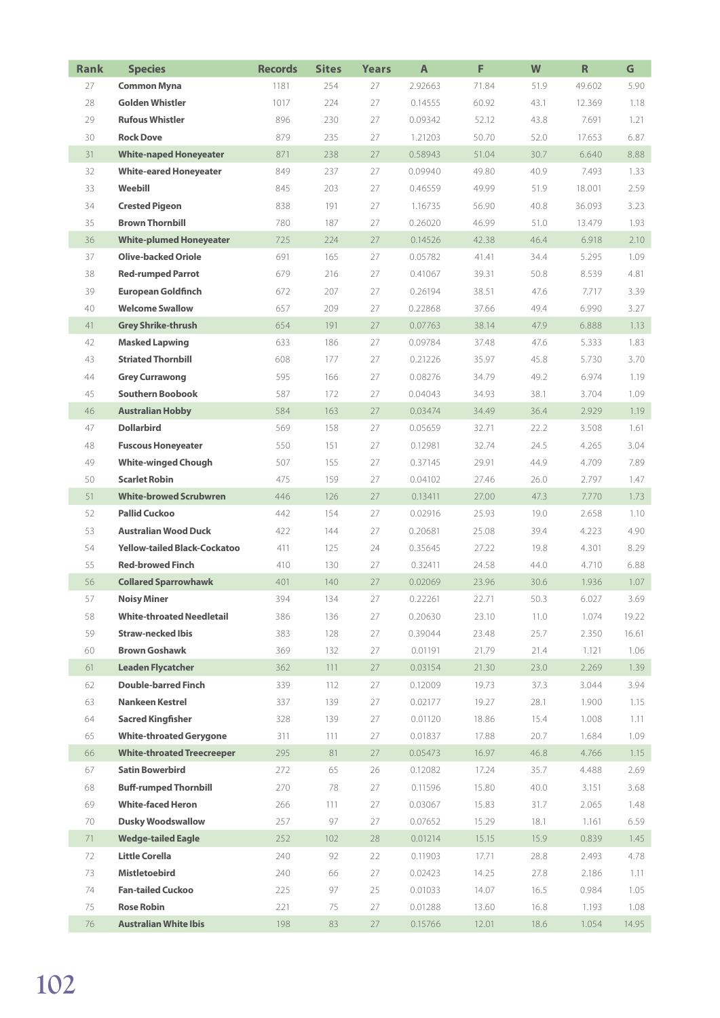| <b>Rank</b> | <b>Species</b>                      | <b>Records</b> | <b>Sites</b> | <b>Years</b> | A       | F     | W    | $\mathsf R$ | G     |
|-------------|-------------------------------------|----------------|--------------|--------------|---------|-------|------|-------------|-------|
| 27          | <b>Common Myna</b>                  | 1181           | 254          | 27           | 2.92663 | 71.84 | 51.9 | 49.602      | 5.90  |
| 28          | <b>Golden Whistler</b>              | 1017           | 224          | 27           | 0.14555 | 60.92 | 43.1 | 12.369      | 1.18  |
| 29          | <b>Rufous Whistler</b>              | 896            | 230          | 27           | 0.09342 | 52.12 | 43.8 | 7.691       | 1.21  |
| 30          | <b>Rock Dove</b>                    | 879            | 235          | 27           | 1.21203 | 50.70 | 52.0 | 17.653      | 6.87  |
| 31          | <b>White-naped Honeyeater</b>       | 871            | 238          | 27           | 0.58943 | 51.04 | 30.7 | 6.640       | 8.88  |
| 32          | <b>White-eared Honeyeater</b>       | 849            | 237          | 27           | 0.09940 | 49.80 | 40.9 | 7.493       | 1.33  |
| 33          | Weebill                             | 845            | 203          | 27           | 0.46559 | 49.99 | 51.9 | 18.001      | 2.59  |
| 34          | <b>Crested Pigeon</b>               | 838            | 191          | 27           | 1.16735 | 56.90 | 40.8 | 36.093      | 3.23  |
| 35          | <b>Brown Thornbill</b>              | 780            | 187          | 27           | 0.26020 | 46.99 | 51.0 | 13.479      | 1.93  |
| 36          | <b>White-plumed Honeyeater</b>      | 725            | 224          | 27           | 0.14526 | 42.38 | 46.4 | 6.918       | 2.10  |
| 37          | <b>Olive-backed Oriole</b>          | 691            | 165          | 27           | 0.05782 | 41.41 | 34.4 | 5.295       | 1.09  |
| 38          | <b>Red-rumped Parrot</b>            | 679            | 216          | 27           | 0.41067 | 39.31 | 50.8 | 8.539       | 4.81  |
| 39          | <b>European Goldfinch</b>           | 672            | 207          | 27           | 0.26194 | 38.51 | 47.6 | 7.717       | 3.39  |
| 40          | <b>Welcome Swallow</b>              | 657            | 209          | 27           | 0.22868 | 37.66 | 49.4 | 6.990       | 3.27  |
| 41          | <b>Grey Shrike-thrush</b>           | 654            | 191          | 27           | 0.07763 | 38.14 | 47.9 | 6.888       | 1.13  |
| 42          | <b>Masked Lapwing</b>               | 633            | 186          | 27           | 0.09784 | 37.48 | 47.6 | 5.333       | 1.83  |
| 43          | <b>Striated Thornbill</b>           | 608            | 177          | 27           | 0.21226 | 35.97 | 45.8 | 5.730       | 3.70  |
| 44          | <b>Grey Currawong</b>               | 595            | 166          | 27           | 0.08276 | 34.79 | 49.2 | 6.974       | 1.19  |
| 45          | <b>Southern Boobook</b>             | 587            | 172          | 27           | 0.04043 | 34.93 | 38.1 | 3.704       | 1.09  |
| 46          | <b>Australian Hobby</b>             | 584            | 163          | 27           | 0.03474 | 34.49 | 36.4 | 2.929       | 1.19  |
| 47          | <b>Dollarbird</b>                   | 569            | 158          | 27           | 0.05659 | 32.71 | 22.2 | 3.508       | 1.61  |
| 48          | <b>Fuscous Honeyeater</b>           | 550            | 151          | 27           | 0.12981 | 32.74 | 24.5 | 4.265       | 3.04  |
| 49          | <b>White-winged Chough</b>          | 507            | 155          | 27           | 0.37145 | 29.91 | 44.9 | 4.709       | 7.89  |
| 50          | <b>Scarlet Robin</b>                | 475            | 159          | 27           | 0.04102 | 27.46 | 26.0 | 2.797       | 1.47  |
| 51          | <b>White-browed Scrubwren</b>       | 446            | 126          | 27           | 0.13411 | 27.00 | 47.3 | 7.770       | 1.73  |
| 52          | <b>Pallid Cuckoo</b>                | 442            | 154          | 27           | 0.02916 | 25.93 | 19.0 | 2.658       | 1.10  |
| 53          | <b>Australian Wood Duck</b>         | 422            | 144          | 27           | 0.20681 | 25.08 | 39.4 | 4.223       | 4.90  |
| 54          | <b>Yellow-tailed Black-Cockatoo</b> | 411            | 125          | 24           | 0.35645 | 27.22 | 19.8 | 4.301       | 8.29  |
| 55          | <b>Red-browed Finch</b>             | 410            | 130          | 27           | 0.32411 | 24.58 | 44.0 | 4.710       | 6.88  |
| 56          | <b>Collared Sparrowhawk</b>         | 401            | 140          | 27           | 0.02069 | 23.96 | 30.6 | 1.936       | 1.07  |
| 57          | Noisy Miner                         | 394            | 134          | 27           | 0.22261 | 22.71 | 50.3 | 6.027       | 3.69  |
| 58          | <b>White-throated Needletail</b>    | 386            | 136          | 27           | 0.20630 | 23.10 | 11.0 | 1.074       | 19.22 |
| 59          | <b>Straw-necked Ibis</b>            | 383            | 128          | 27           | 0.39044 | 23.48 | 25.7 | 2.350       | 16.61 |
| 60          | <b>Brown Goshawk</b>                | 369            | 132          | 27           | 0.01191 | 21.79 | 21.4 | 1.121       | 1.06  |
| 61          | <b>Leaden Flycatcher</b>            | 362            | 111          | 27           | 0.03154 | 21.30 | 23.0 | 2.269       | 1.39  |
| 62          | <b>Double-barred Finch</b>          | 339            | 112          | 27           | 0.12009 | 19.73 | 37.3 | 3.044       | 3.94  |
| 63          | <b>Nankeen Kestrel</b>              | 337            | 139          | 27           | 0.02177 | 19.27 | 28.1 | 1.900       | 1.15  |
| 64          | <b>Sacred Kingfisher</b>            | 328            | 139          | 27           | 0.01120 | 18.86 | 15.4 | 1.008       | 1.11  |
| 65          | <b>White-throated Gerygone</b>      | 311            | 111          | 27           | 0.01837 | 17.88 | 20.7 | 1.684       | 1.09  |
| 66          | <b>White-throated Treecreeper</b>   | 295            | 81           | 27           | 0.05473 | 16.97 | 46.8 | 4.766       | 1.15  |
| 67          | <b>Satin Bowerbird</b>              | 272            | 65           | 26           | 0.12082 | 17.24 | 35.7 | 4.488       | 2.69  |
| 68          | <b>Buff-rumped Thornbill</b>        | 270            | 78           | 27           | 0.11596 | 15.80 | 40.0 | 3.151       | 3.68  |
| 69          | <b>White-faced Heron</b>            | 266            | 111          | 27           | 0.03067 | 15.83 | 31.7 | 2.065       | 1.48  |
| 70          | <b>Dusky Woodswallow</b>            | 257            | 97           | 27           | 0.07652 | 15.29 | 18.1 | 1.161       | 6.59  |
| 71          | <b>Wedge-tailed Eagle</b>           | 252            | 102          | 28           | 0.01214 | 15.15 | 15.9 | 0.839       | 1.45  |
| 72          | <b>Little Corella</b>               | 240            | 92           | 22           | 0.11903 | 17.71 | 28.8 | 2.493       | 4.78  |
| 73          | <b>Mistletoebird</b>                | 240            | 66           | 27           | 0.02423 | 14.25 | 27.8 | 2.186       | 1.11  |
| 74          | <b>Fan-tailed Cuckoo</b>            | 225            | 97           | 25           | 0.01033 | 14.07 | 16.5 | 0.984       | 1.05  |
| 75          | <b>Rose Robin</b>                   | 221            | 75           | 27           | 0.01288 | 13.60 | 16.8 | 1.193       | 1.08  |
| 76          | <b>Australian White Ibis</b>        | 198            | 83           | 27           | 0.15766 | 12.01 | 18.6 | 1.054       | 14.95 |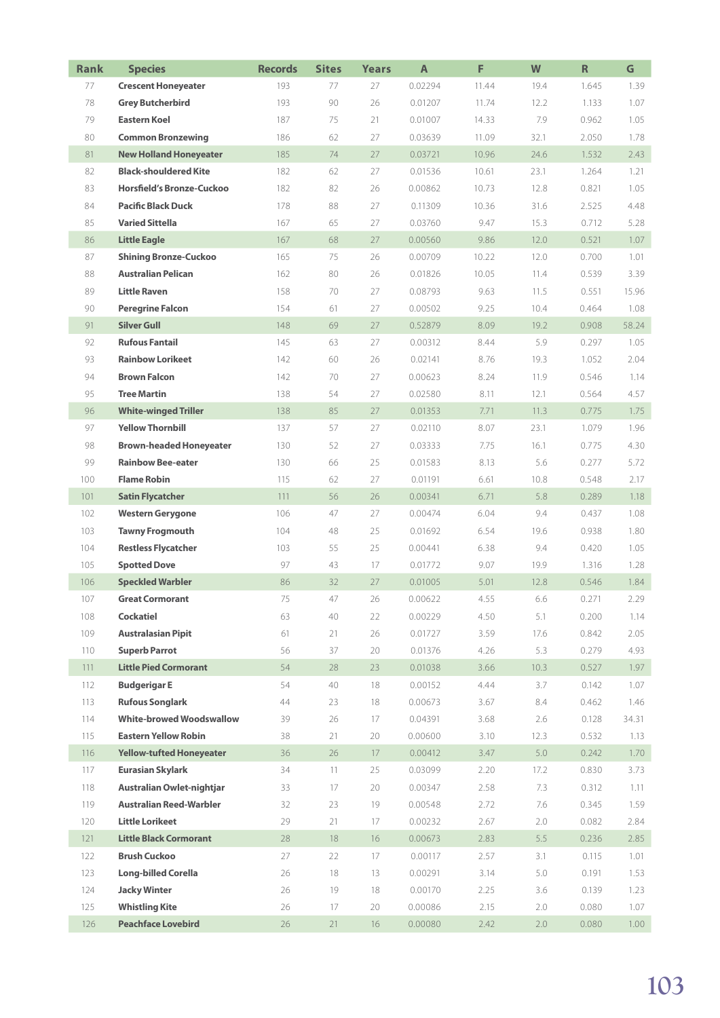| <b>Rank</b> | <b>Species</b>                   | <b>Records</b> | <b>Sites</b> | <b>Years</b> | $\mathsf{A}$ | F     | W    | $\mathsf R$ | G                 |
|-------------|----------------------------------|----------------|--------------|--------------|--------------|-------|------|-------------|-------------------|
| 77          | <b>Crescent Honeyeater</b>       | 193            | 77           | 27           | 0.02294      | 11.44 | 19.4 | 1.645       | 1.39              |
| 78          | <b>Grey Butcherbird</b>          | 193            | 90           | 26           | 0.01207      | 11.74 | 12.2 | 1.133       | 1.07              |
| 79          | <b>Eastern Koel</b>              | 187            | 75           | 21           | 0.01007      | 14.33 | 7.9  | 0.962       | 1.05              |
| 80          | <b>Common Bronzewing</b>         | 186            | 62           | 27           | 0.03639      | 11.09 | 32.1 | 2.050       | 1.78              |
| 81          | <b>New Holland Honeyeater</b>    | 185            | 74           | 27           | 0.03721      | 10.96 | 24.6 | 1.532       | 2.43              |
| 82          | <b>Black-shouldered Kite</b>     | 182            | 62           | 27           | 0.01536      | 10.61 | 23.1 | 1.264       | 1.21              |
| 83          | <b>Horsfield's Bronze-Cuckoo</b> | 182            | 82           | 26           | 0.00862      | 10.73 | 12.8 | 0.821       | 1.05              |
| 84          | <b>Pacific Black Duck</b>        | 178            | 88           | 27           | 0.11309      | 10.36 | 31.6 | 2.525       | 4.48              |
| 85          | <b>Varied Sittella</b>           | 167            | 65           | 27           | 0.03760      | 9.47  | 15.3 | 0.712       | 5.28              |
| 86          | <b>Little Eagle</b>              | 167            | 68           | 27           | 0.00560      | 9.86  | 12.0 | 0.521       | 1.07              |
| 87          | <b>Shining Bronze-Cuckoo</b>     | 165            | 75           | 26           | 0.00709      | 10.22 | 12.0 | 0.700       | 1.01              |
| 88          | <b>Australian Pelican</b>        | 162            | 80           | 26           | 0.01826      | 10.05 | 11.4 | 0.539       | 3.39              |
| 89          | <b>Little Raven</b>              | 158            | 70           | 27           | 0.08793      | 9.63  | 11.5 | 0.551       | 15.96             |
| 90          | <b>Peregrine Falcon</b>          | 154            | 61           | 27           | 0.00502      | 9.25  | 10.4 | 0.464       | 1.08              |
| 91          | <b>Silver Gull</b>               | 148            | 69           | 27           | 0.52879      | 8.09  | 19.2 | 0.908       | 58.24             |
| 92          | <b>Rufous Fantail</b>            | 145            | 63           | 27           | 0.00312      | 8.44  | 5.9  | 0.297       | 1.05              |
| 93          | <b>Rainbow Lorikeet</b>          | 142            | 60           | 26           | 0.02141      | 8.76  | 19.3 | 1.052       | 2.04              |
| 94          | <b>Brown Falcon</b>              | 142            | 70           | 27           | 0.00623      | 8.24  | 11.9 | 0.546       | 1.14              |
| 95          | <b>Tree Martin</b>               | 138            | 54           | 27           | 0.02580      | 8.11  | 12.1 | 0.564       | 4.57              |
| 96          | <b>White-winged Triller</b>      | 138            | 85           | 27           | 0.01353      | 7.71  | 11.3 | 0.775       | 1.75              |
| 97          | <b>Yellow Thornbill</b>          | 137            | 57           | 27           | 0.02110      | 8.07  | 23.1 | 1.079       | 1.96              |
| 98          | <b>Brown-headed Honeyeater</b>   | 130            | 52           | 27           | 0.03333      | 7.75  | 16.1 | 0.775       | 4.30              |
| 99          | <b>Rainbow Bee-eater</b>         | 130            | 66           | 25           | 0.01583      | 8.13  | 5.6  | 0.277       | 5.72              |
| 100         | <b>Flame Robin</b>               | 115            | 62           | 27           | 0.01191      | 6.61  | 10.8 | 0.548       | 2.17              |
| 101         | <b>Satin Flycatcher</b>          | 111            | 56           | 26           | 0.00341      | 6.71  | 5.8  | 0.289       | 1.18              |
| 102         | <b>Western Gerygone</b>          | 106            | 47           | 27           | 0.00474      | 6.04  | 9.4  | 0.437       | 1.08              |
| 103         | <b>Tawny Frogmouth</b>           | 104            | 48           | 25           | 0.01692      | 6.54  | 19.6 | 0.938       | 1.80              |
| 104         | <b>Restless Flycatcher</b>       | 103            | 55           | 25           | 0.00441      | 6.38  | 9.4  | 0.420       | 1.05              |
| 105         | <b>Spotted Dove</b>              | 97             | 43           | 17           | 0.01772      | 9.07  | 19.9 | 1.316       | 1.28              |
| 106         | <b>Speckled Warbler</b>          | 86             | 32           | 27           | 0.01005      | 5.01  | 12.8 | 0.546       | 1.84              |
| 107         | <b>Great Cormorant</b>           | 75             | 47           | 26           | 0.00622      | 4.55  | 6.6  | 0.271       | 2.29              |
| 108         | Cockatiel                        | 63             | 40           | 22           | 0.00229      | 4.50  | 5.1  | 0.200       | 1.14              |
| 109         | <b>Australasian Pipit</b>        | 61             | 21           | 26           | 0.01727      | 3.59  | 17.6 | 0.842       | 2.05              |
| 110         | <b>Superb Parrot</b>             | 56             | 37           | 20           | 0.01376      | 4.26  | 5.3  | 0.279       | 4.93              |
| 111         | <b>Little Pied Cormorant</b>     | 54             | 28           | 23           | 0.01038      | 3.66  | 10.3 | 0.527       | 1.97              |
| 112         | <b>Budgerigar E</b>              | 54             | 40           | 18           | 0.00152      | 4.44  | 3.7  | 0.142       | 1.07              |
| 113         | <b>Rufous Songlark</b>           | 44             | 23           | 18           | 0.00673      | 3.67  | 8.4  | 0.462       | 1.46              |
| 114         | <b>White-browed Woodswallow</b>  | 39             | 26           | 17           | 0.04391      | 3.68  | 2.6  | 0.128       | 34.31             |
| 115         | <b>Eastern Yellow Robin</b>      | 38             | 21           | 20           | 0.00600      | 3.10  | 12.3 | 0.532       | 1.13              |
| 116         | <b>Yellow-tufted Honeyeater</b>  | 36             | 26           | 17           | 0.00412      | 3.47  | 5.0  | 0.242       | 1.70              |
| 117         | <b>Eurasian Skylark</b>          | 34             | 11           | 25           | 0.03099      | 2.20  | 17.2 | 0.830       | 3.73              |
| 118         | Australian Owlet-nightjar        | 33             | 17           | 20           | 0.00347      | 2.58  | 7.3  | 0.312       | 1.11              |
| 119         | <b>Australian Reed-Warbler</b>   | 32             | 23           | 19           | 0.00548      | 2.72  | 7.6  | 0.345       | 1.59              |
| 120         | <b>Little Lorikeet</b>           | 29             | 21           | 17           | 0.00232      | 2.67  | 2.0  | 0.082       | 2.84              |
| 121         | <b>Little Black Cormorant</b>    | 28             | 18           | 16           | 0.00673      | 2.83  | 5.5  | 0.236       | 2.85              |
| 122         | <b>Brush Cuckoo</b>              | 27             | 22           | 17           | 0.00117      | 2.57  | 3.1  | 0.115       | 1.01              |
| 123         | <b>Long-billed Corella</b>       | 26             | 18           | 13           | 0.00291      | 3.14  | 5.0  | 0.191       | 1.53              |
| 124         | <b>Jacky Winter</b>              | 26             | 19           | 18           | 0.00170      | 2.25  | 3.6  | 0.139       | 1.23              |
| 125         | <b>Whistling Kite</b>            | 26             | 17           | 20           | 0.00086      | 2.15  | 2.0  | 0.080       | 1.07              |
| 126         | <b>Peachface Lovebird</b>        | 26             | 21           | 16           | 0.00080      | 2.42  | 2.0  | 0.080       | 1.00 <sub>1</sub> |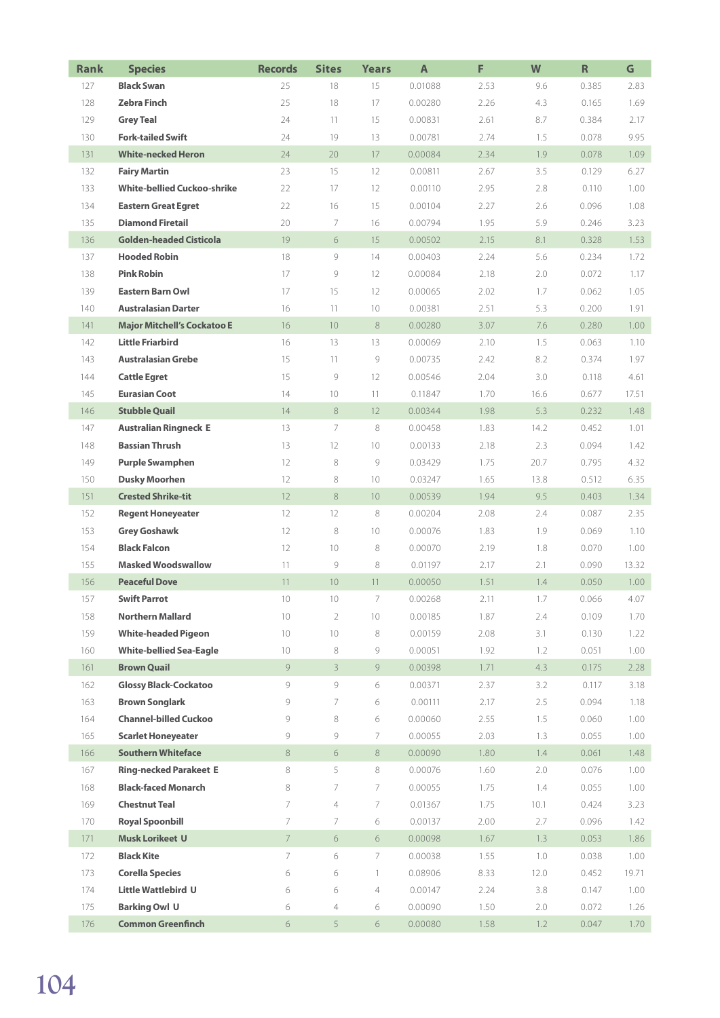| <b>Rank</b> | <b>Species</b>                     | <b>Records</b>  | <b>Sites</b>    | Years           | A       | F    | W       | $\mathbf R$ | G     |
|-------------|------------------------------------|-----------------|-----------------|-----------------|---------|------|---------|-------------|-------|
| 127         | <b>Black Swan</b>                  | 25              | 18              | 15              | 0.01088 | 2.53 | 9.6     | 0.385       | 2.83  |
| 128         | <b>Zebra Finch</b>                 | 25              | 18              | 17              | 0.00280 | 2.26 | 4.3     | 0.165       | 1.69  |
| 129         | <b>Grey Teal</b>                   | 24              | 11              | 15              | 0.00831 | 2.61 | 8.7     | 0.384       | 2.17  |
| 130         | <b>Fork-tailed Swift</b>           | 24              | 19              | 13              | 0.00781 | 2.74 | 1.5     | 0.078       | 9.95  |
| 131         | <b>White-necked Heron</b>          | 24              | 20              | 17              | 0.00084 | 2.34 | 1.9     | 0.078       | 1.09  |
| 132         | <b>Fairy Martin</b>                | 23              | 15              | 12              | 0.00811 | 2.67 | 3.5     | 0.129       | 6.27  |
| 133         | <b>White-bellied Cuckoo-shrike</b> | 22              | 17              | 12              | 0.00110 | 2.95 | 2.8     | 0.110       | 1.00  |
| 134         | <b>Eastern Great Egret</b>         | 22              | 16              | 15              | 0.00104 | 2.27 | 2.6     | 0.096       | 1.08  |
| 135         | <b>Diamond Firetail</b>            | 20              | 7               | 16              | 0.00794 | 1.95 | 5.9     | 0.246       | 3.23  |
| 136         | <b>Golden-headed Cisticola</b>     | 19              | 6               | 15              | 0.00502 | 2.15 | 8.1     | 0.328       | 1.53  |
| 137         | <b>Hooded Robin</b>                | 18              | 9               | 14              | 0.00403 | 2.24 | 5.6     | 0.234       | 1.72  |
| 138         | <b>Pink Robin</b>                  | 17              | 9               | 12              | 0.00084 | 2.18 | 2.0     | 0.072       | 1.17  |
| 139         | <b>Eastern Barn Owl</b>            | 17              | 15              | 12              | 0.00065 | 2.02 | 1.7     | 0.062       | 1.05  |
| 140         | <b>Australasian Darter</b>         | 16              | 11              | 10              | 0.00381 | 2.51 | 5.3     | 0.200       | 1.91  |
| 141         | <b>Major Mitchell's Cockatoo E</b> | 16              | 10              | 8               | 0.00280 | 3.07 | 7.6     | 0.280       | 1.00  |
| 142         | <b>Little Friarbird</b>            | 16              | 13              | 13              | 0.00069 | 2.10 | 1.5     | 0.063       | 1.10  |
| 143         | <b>Australasian Grebe</b>          | 15              | 11              | 9               | 0.00735 | 2.42 | 8.2     | 0.374       | 1.97  |
| 144         | <b>Cattle Egret</b>                | 15              | 9               | 12              | 0.00546 | 2.04 | 3.0     | 0.118       | 4.61  |
| 145         | <b>Eurasian Coot</b>               | 14              | 10              | 11              | 0.11847 | 1.70 | 16.6    | 0.677       | 17.51 |
| 146         | <b>Stubble Quail</b>               | 14              | 8               | 12              | 0.00344 | 1.98 | 5.3     | 0.232       | 1.48  |
| 147         | <b>Australian Ringneck E</b>       | 13              | 7               | 8               | 0.00458 | 1.83 | 14.2    | 0.452       | 1.01  |
| 148         | <b>Bassian Thrush</b>              | 13              | 12              | 10 <sup>°</sup> | 0.00133 | 2.18 | 2.3     | 0.094       | 1.42  |
| 149         | <b>Purple Swamphen</b>             | 12              | 8               | 9               | 0.03429 | 1.75 | 20.7    | 0.795       | 4.32  |
| 150         | <b>Dusky Moorhen</b>               | 12              | 8               | 10              | 0.03247 | 1.65 | 13.8    | 0.512       | 6.35  |
| 151         | <b>Crested Shrike-tit</b>          | 12              | $\,8\,$         | 10 <sup>°</sup> | 0.00539 | 1.94 | 9.5     | 0.403       | 1.34  |
| 152         | <b>Regent Honeyeater</b>           | 12              | 12              | $\,8\,$         | 0.00204 | 2.08 | 2.4     | 0.087       | 2.35  |
| 153         | <b>Grey Goshawk</b>                | 12              | 8               | 10 <sup>°</sup> | 0.00076 | 1.83 | 1.9     | 0.069       | 1.10  |
| 154         | <b>Black Falcon</b>                | 12              | 10              | 8               | 0.00070 | 2.19 | 1.8     | 0.070       | 1.00  |
| 155         | <b>Masked Woodswallow</b>          | 11              | 9               | 8               | 0.01197 | 2.17 | 2.1     | 0.090       | 13.32 |
| 156         | <b>Peaceful Dove</b>               | 11              | 10              | 11              | 0.00050 | 1.51 | 1.4     | 0.050       | 1.00  |
| 157         | <b>Swift Parrot</b>                | 10 <sup>°</sup> | 10 <sup>°</sup> | 7               | 0.00268 | 2.11 | 1.7     | 0.066       | 4.07  |
| 158         | <b>Northern Mallard</b>            | 10 <sup>°</sup> | $\overline{2}$  | 10 <sup>°</sup> | 0.00185 | 1.87 | 2.4     | 0.109       | 1.70  |
| 159         | <b>White-headed Pigeon</b>         | 10              | 10              | 8               | 0.00159 | 2.08 | 3.1     | 0.130       | 1.22  |
| 160         | <b>White-bellied Sea-Eagle</b>     | 10 <sup>°</sup> | 8               | 9               | 0.00051 | 1.92 | 1.2     | 0.051       | 1.00  |
| 161         | <b>Brown Quail</b>                 | 9               | 3 <sup>1</sup>  | 9               | 0.00398 | 1.71 | 4.3     | 0.175       | 2.28  |
| 162         | <b>Glossy Black-Cockatoo</b>       | 9               | 9               | 6               | 0.00371 | 2.37 | 3.2     | 0.117       | 3.18  |
| 163         | <b>Brown Songlark</b>              | 9               | 7               | 6               | 0.00111 | 2.17 | $2.5\,$ | 0.094       | 1.18  |
| 164         | <b>Channel-billed Cuckoo</b>       | 9               | 8               | 6               | 0.00060 | 2.55 | 1.5     | 0.060       | 1.00  |
| 165         | <b>Scarlet Honeyeater</b>          | 9               | 9               | 7               | 0.00055 | 2.03 | 1.3     | 0.055       | 1.00  |
| 166         | <b>Southern Whiteface</b>          | $8\,$           | 6               | 8               | 0.00090 | 1.80 | 1.4     | 0.061       | 1.48  |
| 167         | <b>Ring-necked Parakeet E</b>      | 8               | 5               | 8               | 0.00076 | 1.60 | 2.0     | 0.076       | 1.00  |
| 168         | <b>Black-faced Monarch</b>         | 8               | 7               | 7               | 0.00055 | 1.75 | 1.4     | 0.055       | 1.00  |
| 169         | <b>Chestnut Teal</b>               | 7               | 4               | 7               | 0.01367 | 1.75 | 10.1    | 0.424       | 3.23  |
| 170         | <b>Royal Spoonbill</b>             | 7               | 7               | 6               | 0.00137 | 2.00 | 2.7     | 0.096       | 1.42  |
| 171         | <b>Musk Lorikeet U</b>             | $7\overline{ }$ | 6               | 6               | 0.00098 | 1.67 | 1.3     | 0.053       | 1.86  |
| 172         | <b>Black Kite</b>                  | 7               | 6               | 7               | 0.00038 | 1.55 | 1.0     | 0.038       | 1.00  |
| 173         | <b>Corella Species</b>             | 6               | 6               | $\mathbf{1}$    | 0.08906 | 8.33 | 12.0    | 0.452       | 19.71 |
| 174         | Little Wattlebird U                | 6               | 6               | 4               | 0.00147 | 2.24 | 3.8     | 0.147       | 1.00  |
| 175         | <b>Barking Owl U</b>               | 6               | 4               | 6               | 0.00090 | 1.50 | 2.0     | 0.072       | 1.26  |
| 176         | <b>Common Greenfinch</b>           | 6               | 5               | 6               | 0.00080 | 1.58 | 1.2     | 0.047       | 1.70  |